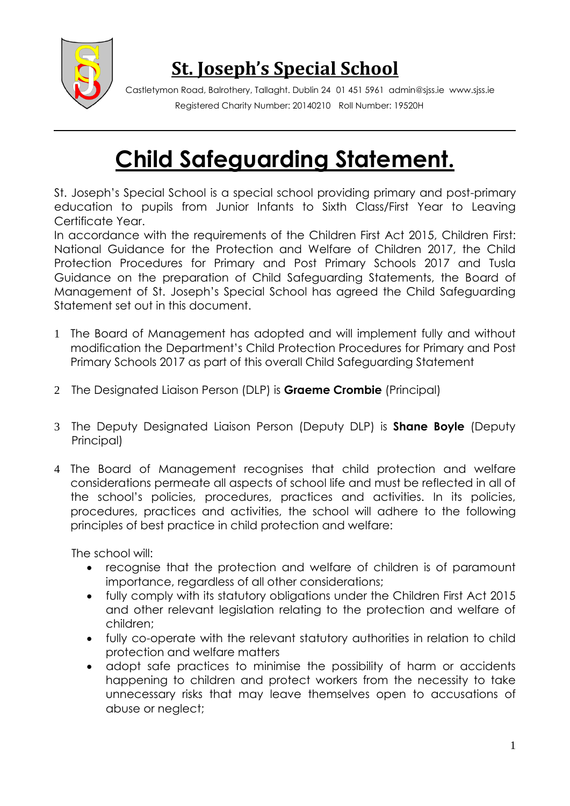

## **St. Joseph's Special School**

Castletymon Road, Balrothery, Tallaght. Dublin 24 01 451 5961 admin@sjss.ie www.sjss.ie Registered Charity Number: 20140210 Roll Number: 19520H

# **Child Safeguarding Statement.**

St. Joseph's Special School is a special school providing primary and post-primary education to pupils from Junior Infants to Sixth Class/First Year to Leaving Certificate Year.

In accordance with the requirements of the Children First Act 2015, Children First: National Guidance for the Protection and Welfare of Children 2017, the Child Protection Procedures for Primary and Post Primary Schools 2017 and Tusla Guidance on the preparation of Child Safeguarding Statements, the Board of Management of St. Joseph's Special School has agreed the Child Safeguarding Statement set out in this document.

- 1 The Board of Management has adopted and will implement fully and without modification the Department's Child Protection Procedures for Primary and Post Primary Schools 2017 as part of this overall Child Safeguarding Statement
- 2 The Designated Liaison Person (DLP) is **Graeme Crombie** (Principal)
- 3 The Deputy Designated Liaison Person (Deputy DLP) is **Shane Boyle** (Deputy Principal)
- 4 The Board of Management recognises that child protection and welfare considerations permeate all aspects of school life and must be reflected in all of the school's policies, procedures, practices and activities. In its policies, procedures, practices and activities, the school will adhere to the following principles of best practice in child protection and welfare:

The school will:

- recognise that the protection and welfare of children is of paramount importance, regardless of all other considerations;
- fully comply with its statutory obligations under the Children First Act 2015 and other relevant legislation relating to the protection and welfare of children;
- fully co-operate with the relevant statutory authorities in relation to child protection and welfare matters
- adopt safe practices to minimise the possibility of harm or accidents happening to children and protect workers from the necessity to take unnecessary risks that may leave themselves open to accusations of abuse or neglect;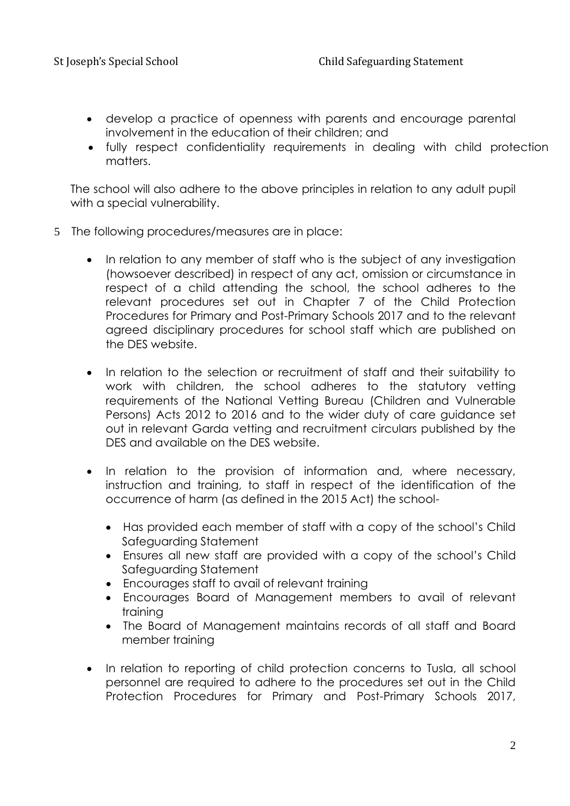- develop a practice of openness with parents and encourage parental involvement in the education of their children; and
- fully respect confidentiality requirements in dealing with child protection matters.

The school will also adhere to the above principles in relation to any adult pupil with a special vulnerability.

- 5 The following procedures/measures are in place:
	- In relation to any member of staff who is the subiect of any investigation (howsoever described) in respect of any act, omission or circumstance in respect of a child attending the school, the school adheres to the relevant procedures set out in Chapter 7 of the Child Protection Procedures for Primary and Post-Primary Schools 2017 and to the relevant agreed disciplinary procedures for school staff which are published on the DES website.
	- In relation to the selection or recruitment of staff and their suitability to work with children, the school adheres to the statutory vetting requirements of the National Vetting Bureau (Children and Vulnerable Persons) Acts 2012 to 2016 and to the wider duty of care guidance set out in relevant Garda vetting and recruitment circulars published by the DES and available on the DES website.
	- In relation to the provision of information and, where necessary, instruction and training, to staff in respect of the identification of the occurrence of harm (as defined in the 2015 Act) the school-
		- Has provided each member of staff with a copy of the school's Child Safeguarding Statement
		- Ensures all new staff are provided with a copy of the school's Child Safeguarding Statement
		- Encourages staff to avail of relevant training
		- Encourages Board of Management members to avail of relevant training
		- The Board of Management maintains records of all staff and Board member training
	- In relation to reporting of child protection concerns to Tusla, all school personnel are required to adhere to the procedures set out in the Child Protection Procedures for Primary and Post-Primary Schools 2017,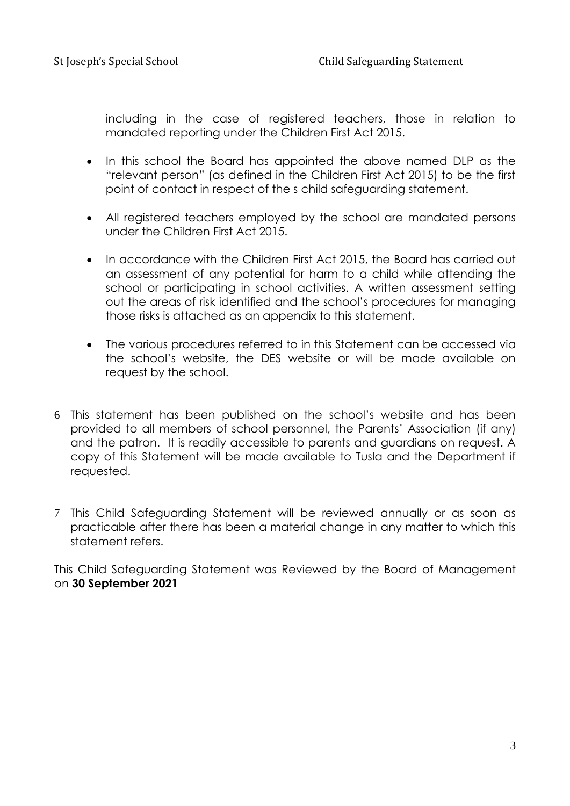including in the case of registered teachers, those in relation to mandated reporting under the Children First Act 2015.

- In this school the Board has appointed the above named DLP as the "relevant person" (as defined in the Children First Act 2015) to be the first point of contact in respect of the s child safeguarding statement.
- All registered teachers employed by the school are mandated persons under the Children First Act 2015.
- In accordance with the Children First Act 2015, the Board has carried out an assessment of any potential for harm to a child while attending the school or participating in school activities. A written assessment setting out the areas of risk identified and the school's procedures for managing those risks is attached as an appendix to this statement.
- The various procedures referred to in this Statement can be accessed via the school's website, the DES website or will be made available on request by the school.
- 6 This statement has been published on the school's website and has been provided to all members of school personnel, the Parents' Association (if any) and the patron. It is readily accessible to parents and guardians on request. A copy of this Statement will be made available to Tusla and the Department if requested.
- 7 This Child Safeguarding Statement will be reviewed annually or as soon as practicable after there has been a material change in any matter to which this statement refers.

This Child Safeguarding Statement was Reviewed by the Board of Management on **30 September 2021**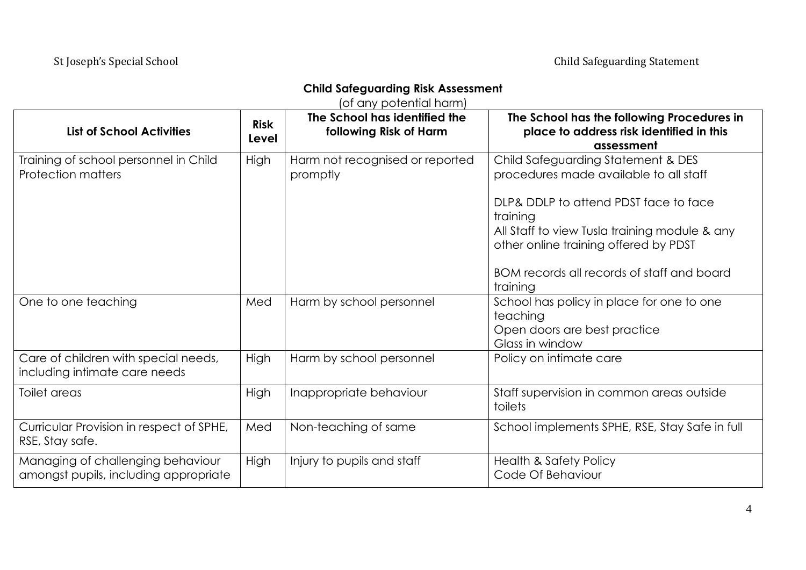### **Child Safeguarding Risk Assessment**

(of any potential harm)

| <b>List of School Activities</b>                                           | <b>Risk</b><br>Level | The School has identified the<br>following Risk of Harm | The School has the following Procedures in<br>place to address risk identified in this<br>assessment                                                                                      |
|----------------------------------------------------------------------------|----------------------|---------------------------------------------------------|-------------------------------------------------------------------------------------------------------------------------------------------------------------------------------------------|
| Training of school personnel in Child<br><b>Protection matters</b>         | High                 | Harm not recognised or reported<br>promptly             | Child Safeguarding Statement & DES<br>procedures made available to all staff                                                                                                              |
|                                                                            |                      |                                                         | DLP& DDLP to attend PDST face to face<br>training<br>All Staff to view Tusla training module & any<br>other online training offered by PDST<br>BOM records all records of staff and board |
|                                                                            |                      |                                                         | training                                                                                                                                                                                  |
| One to one teaching                                                        | Med                  | Harm by school personnel                                | School has policy in place for one to one<br>teaching<br>Open doors are best practice<br>Glass in window                                                                                  |
| Care of children with special needs,<br>including intimate care needs      | High                 | Harm by school personnel                                | Policy on intimate care                                                                                                                                                                   |
| Toilet areas                                                               | High                 | Inappropriate behaviour                                 | Staff supervision in common areas outside<br>toilets                                                                                                                                      |
| Curricular Provision in respect of SPHE,<br>RSE, Stay safe.                | Med                  | Non-teaching of same                                    | School implements SPHE, RSE, Stay Safe in full                                                                                                                                            |
| Managing of challenging behaviour<br>amongst pupils, including appropriate | <b>High</b>          | Injury to pupils and staff                              | <b>Health &amp; Safety Policy</b><br>Code Of Behaviour                                                                                                                                    |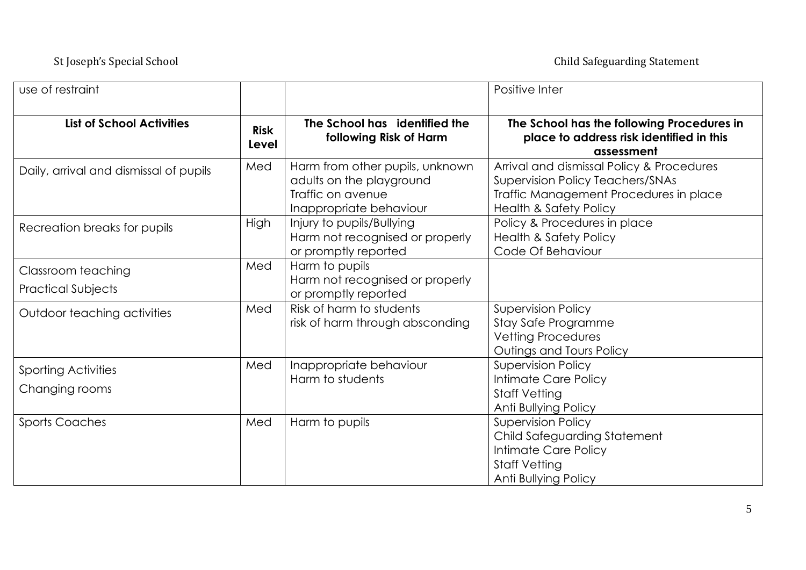| use of restraint                                |                      |                                                                                                             | Positive Inter                                                                                                                                                      |
|-------------------------------------------------|----------------------|-------------------------------------------------------------------------------------------------------------|---------------------------------------------------------------------------------------------------------------------------------------------------------------------|
| <b>List of School Activities</b>                | <b>Risk</b><br>Level | The School has identified the<br>following Risk of Harm                                                     | The School has the following Procedures in<br>place to address risk identified in this<br>assessment                                                                |
| Daily, arrival and dismissal of pupils          | Med                  | Harm from other pupils, unknown<br>adults on the playground<br>Traffic on avenue<br>Inappropriate behaviour | Arrival and dismissal Policy & Procedures<br><b>Supervision Policy Teachers/SNAs</b><br>Traffic Management Procedures in place<br><b>Health &amp; Safety Policy</b> |
| Recreation breaks for pupils                    | High                 | Injury to pupils/Bullying<br>Harm not recognised or properly<br>or promptly reported                        | Policy & Procedures in place<br><b>Health &amp; Safety Policy</b><br>Code Of Behaviour                                                                              |
| Classroom teaching<br><b>Practical Subjects</b> | Med                  | Harm to pupils<br>Harm not recognised or properly<br>or promptly reported                                   |                                                                                                                                                                     |
| Outdoor teaching activities                     | Med                  | Risk of harm to students<br>risk of harm through absconding                                                 | <b>Supervision Policy</b><br>Stay Safe Programme<br><b>Vetting Procedures</b><br>Outings and Tours Policy                                                           |
| <b>Sporting Activities</b><br>Changing rooms    | Med                  | Inappropriate behaviour<br>Harm to students                                                                 | <b>Supervision Policy</b><br>Intimate Care Policy<br><b>Staff Vetting</b><br>Anti Bullying Policy                                                                   |
| <b>Sports Coaches</b>                           | Med                  | Harm to pupils                                                                                              | <b>Supervision Policy</b><br>Child Safeguarding Statement<br>Intimate Care Policy<br><b>Staff Vetting</b><br>Anti Bullying Policy                                   |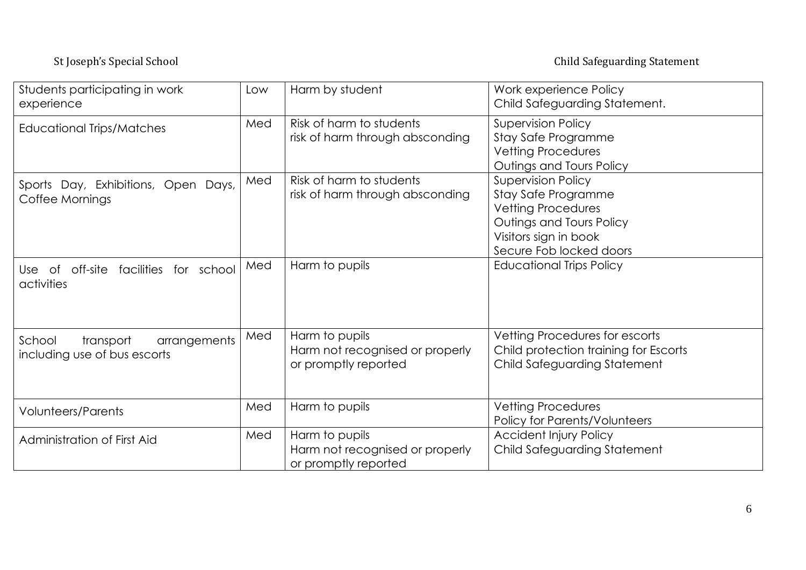### St Joseph's Special School Child Safeguarding Statement

| Students participating in work<br>experience                        | Low | Harm by student                                                           | Work experience Policy<br>Child Safeguarding Statement.                                                                                                       |
|---------------------------------------------------------------------|-----|---------------------------------------------------------------------------|---------------------------------------------------------------------------------------------------------------------------------------------------------------|
| <b>Educational Trips/Matches</b>                                    | Med | Risk of harm to students<br>risk of harm through absconding               | <b>Supervision Policy</b><br>Stay Safe Programme<br><b>Vetting Procedures</b><br>Outings and Tours Policy                                                     |
| Sports Day, Exhibitions, Open Days,<br>Coffee Mornings              | Med | Risk of harm to students<br>risk of harm through absconding               | <b>Supervision Policy</b><br>Stay Safe Programme<br><b>Vetting Procedures</b><br>Outings and Tours Policy<br>Visitors sign in book<br>Secure Fob locked doors |
| Use of off-site facilities for school<br>activities                 | Med | Harm to pupils                                                            | <b>Educational Trips Policy</b>                                                                                                                               |
| School<br>transport<br>arrangements<br>including use of bus escorts | Med | Harm to pupils<br>Harm not recognised or properly<br>or promptly reported | Vetting Procedures for escorts<br>Child protection training for Escorts<br>Child Safeguarding Statement                                                       |
| <b>Volunteers/Parents</b>                                           | Med | Harm to pupils                                                            | Vetting Procedures<br>Policy for Parents/Volunteers                                                                                                           |
| Administration of First Aid                                         | Med | Harm to pupils<br>Harm not recognised or properly<br>or promptly reported | <b>Accident Injury Policy</b><br>Child Safeguarding Statement                                                                                                 |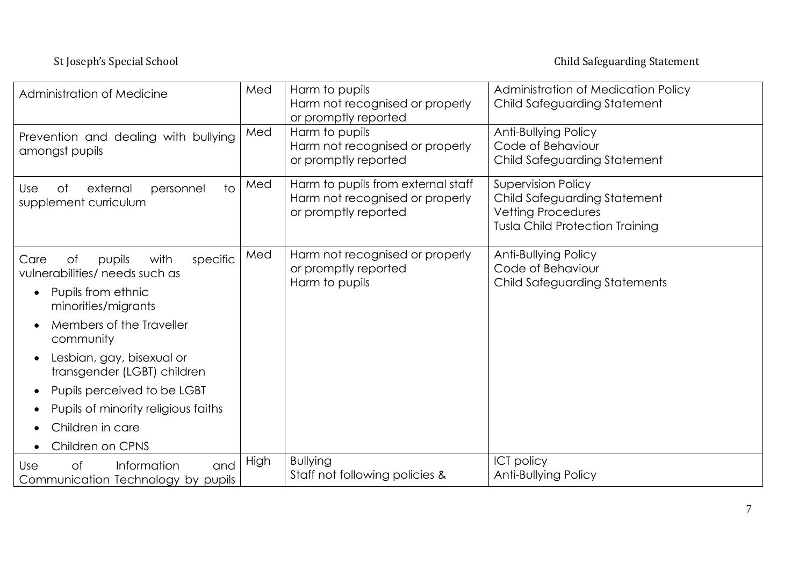### St Joseph's Special School Child Safeguarding Statement

| Administration of Medicine                                                                                                                                                                                                                                                                                                                 | Med  | Harm to pupils<br>Harm not recognised or properly<br>or promptly reported                     | Administration of Medication Policy<br>Child Safeguarding Statement                                                              |
|--------------------------------------------------------------------------------------------------------------------------------------------------------------------------------------------------------------------------------------------------------------------------------------------------------------------------------------------|------|-----------------------------------------------------------------------------------------------|----------------------------------------------------------------------------------------------------------------------------------|
| Prevention and dealing with bullying<br>amongst pupils                                                                                                                                                                                                                                                                                     | Med  | Harm to pupils<br>Harm not recognised or properly<br>or promptly reported                     | Anti-Bullying Policy<br>Code of Behaviour<br>Child Safeguarding Statement                                                        |
| $\overline{1}$<br>external<br>personnel<br>Use<br>Оf<br>supplement curriculum                                                                                                                                                                                                                                                              | Med  | Harm to pupils from external staff<br>Harm not recognised or properly<br>or promptly reported | <b>Supervision Policy</b><br>Child Safeguarding Statement<br><b>Vetting Procedures</b><br><b>Tusla Child Protection Training</b> |
| of<br>with<br>specific<br>pupils<br>Care<br>vulnerabilities/ needs such as<br>Pupils from ethnic<br>minorities/migrants<br>Members of the Traveller<br>community<br>Lesbian, gay, bisexual or<br>transgender (LGBT) children<br>Pupils perceived to be LGBT<br>Pupils of minority religious faiths<br>Children in care<br>Children on CPNS | Med  | Harm not recognised or properly<br>or promptly reported<br>Harm to pupils                     | Anti-Bullying Policy<br>Code of Behaviour<br>Child Safeguarding Statements                                                       |
| $\circ$ f<br>Information<br>Use<br>and<br>Communication Technology by pupils                                                                                                                                                                                                                                                               | High | <b>Bullying</b><br>Staff not following policies &                                             | <b>ICT policy</b><br>Anti-Bullying Policy                                                                                        |